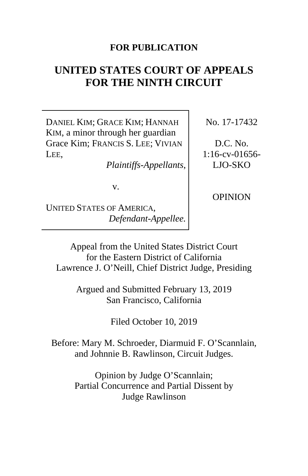# **FOR PUBLICATION**

# **UNITED STATES COURT OF APPEALS FOR THE NINTH CIRCUIT**

DANIEL KIM; GRACE KIM; HANNAH KIM, a minor through her guardian Grace Kim; FRANCIS S. LEE; VIVIAN LEE,

*Plaintiffs-Appellants*,

v.

UNITED STATES OF AMERICA, *Defendant-Appellee.* No. 17-17432

D.C. No. 1:16-cv-01656- LJO-SKO

OPINION

Appeal from the United States District Court for the Eastern District of California Lawrence J. O'Neill, Chief District Judge, Presiding

> Argued and Submitted February 13, 2019 San Francisco, California

> > Filed October 10, 2019

Before: Mary M. Schroeder, Diarmuid F. O'Scannlain, and Johnnie B. Rawlinson, Circuit Judges.

> Opinion by Judge O'Scannlain; Partial Concurrence and Partial Dissent by Judge Rawlinson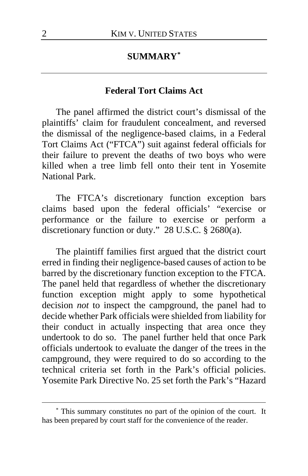## **SUMMARY[\\*](#page-1-0)**

## **Federal Tort Claims Act**

The panel affirmed the district court's dismissal of the plaintiffs' claim for fraudulent concealment, and reversed the dismissal of the negligence-based claims, in a Federal Tort Claims Act ("FTCA") suit against federal officials for their failure to prevent the deaths of two boys who were killed when a tree limb fell onto their tent in Yosemite National Park.

The FTCA's discretionary function exception bars claims based upon the federal officials' "exercise or performance or the failure to exercise or perform a discretionary function or duty." 28 U.S.C.  $\S$  2680(a).

The plaintiff families first argued that the district court erred in finding their negligence-based causes of action to be barred by the discretionary function exception to the FTCA. The panel held that regardless of whether the discretionary function exception might apply to some hypothetical decision *not* to inspect the campground, the panel had to decide whether Park officials were shielded from liability for their conduct in actually inspecting that area once they undertook to do so. The panel further held that once Park officials undertook to evaluate the danger of the trees in the campground, they were required to do so according to the technical criteria set forth in the Park's official policies. Yosemite Park Directive No. 25 set forth the Park's "Hazard

<span id="page-1-0"></span><sup>\*</sup> This summary constitutes no part of the opinion of the court. It has been prepared by court staff for the convenience of the reader.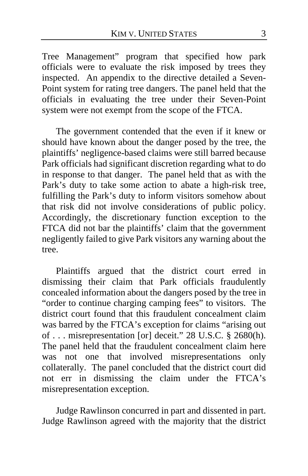Tree Management" program that specified how park officials were to evaluate the risk imposed by trees they inspected. An appendix to the directive detailed a Seven-Point system for rating tree dangers. The panel held that the officials in evaluating the tree under their Seven-Point system were not exempt from the scope of the FTCA.

The government contended that the even if it knew or should have known about the danger posed by the tree, the plaintiffs' negligence-based claims were still barred because Park officials had significant discretion regarding what to do in response to that danger. The panel held that as with the Park's duty to take some action to abate a high-risk tree, fulfilling the Park's duty to inform visitors somehow about that risk did not involve considerations of public policy. Accordingly, the discretionary function exception to the FTCA did not bar the plaintiffs' claim that the government negligently failed to give Park visitors any warning about the tree.

Plaintiffs argued that the district court erred in dismissing their claim that Park officials fraudulently concealed information about the dangers posed by the tree in "order to continue charging camping fees" to visitors. The district court found that this fraudulent concealment claim was barred by the FTCA's exception for claims "arising out of . . . misrepresentation [or] deceit." 28 U.S.C. § 2680(h). The panel held that the fraudulent concealment claim here<br>was not one that involved misrepresentations only that involved misrepresentations only collaterally. The panel concluded that the district court did not err in dismissing the claim under the FTCA's misrepresentation exception.

Judge Rawlinson concurred in part and dissented in part. Judge Rawlinson agreed with the majority that the district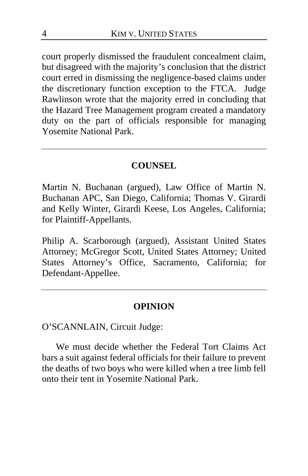court properly dismissed the fraudulent concealment claim, but disagreed with the majority's conclusion that the district court erred in dismissing the negligence-based claims under the discretionary function exception to the FTCA. Judge Rawlinson wrote that the majority erred in concluding that the Hazard Tree Management program created a mandatory duty on the part of officials responsible for managing Yosemite National Park.

## **COUNSEL**

Martin N. Buchanan (argued), Law Office of Martin N. Buchanan APC, San Diego, California; Thomas V. Girardi and Kelly Winter, Girardi Keese, Los Angeles, California; for Plaintiff-Appellants.

Philip A. Scarborough (argued), Assistant United States Attorney; McGregor Scott, United States Attorney; United States Attorney's Office, Sacramento, California; for Defendant-Appellee.

#### **OPINION**

O'SCANNLAIN, Circuit Judge:

We must decide whether the Federal Tort Claims Act bars a suit against federal officials for their failure to prevent the deaths of two boys who were killed when a tree limb fell onto their tent in Yosemite National Park.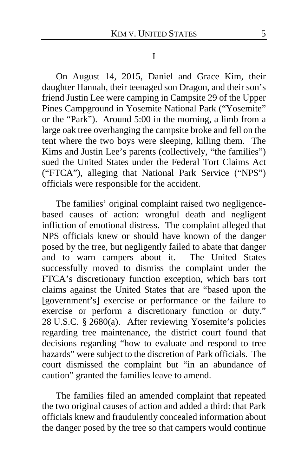#### I

On August 14, 2015, Daniel and Grace Kim, their daughter Hannah, their teenaged son Dragon, and their son's friend Justin Lee were camping in Campsite 29 of the Upper Pines Campground in Yosemite National Park ("Yosemite" or the "Park"). Around 5:00 in the morning, a limb from a large oak tree overhanging the campsite broke and fell on the tent where the two boys were sleeping, killing them. The Kims and Justin Lee's parents (collectively, "the families") sued the United States under the Federal Tort Claims Act ("FTCA"), alleging that National Park Service ("NPS") officials were responsible for the accident.

The families' original complaint raised two negligencebased causes of action: wrongful death and negligent infliction of emotional distress. The complaint alleged that NPS officials knew or should have known of the danger posed by the tree, but negligently failed to abate that danger and to warn campers about it. The United States successfully moved to dismiss the complaint under the FTCA's discretionary function exception, which bars tort claims against the United States that are "based upon the [government's] exercise or performance or the failure to exercise or perform a discretionary function or duty." 28 U.S.C. § 2680(a). After reviewing Yosemite's policies regarding tree maintenance, the district court found that decisions regarding "how to evaluate and respond to tree hazards" were subject to the discretion of Park officials. The court dismissed the complaint but "in an abundance of caution" granted the families leave to amend.

The families filed an amended complaint that repeated the two original causes of action and added a third: that Park officials knew and fraudulently concealed information about the danger posed by the tree so that campers would continue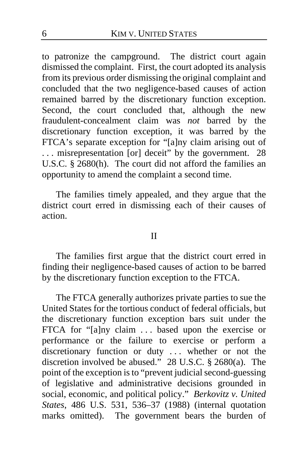to patronize the campground. The district court again dismissed the complaint. First, the court adopted its analysis from its previous order dismissing the original complaint and concluded that the two negligence-based causes of action remained barred by the discretionary function exception. Second, the court concluded that, although the new fraudulent-concealment claim was *not* barred by the discretionary function exception, it was barred by the FTCA's separate exception for "[a]ny claim arising out of . . . misrepresentation [or] deceit" by the government. 28 U.S.C. § 2680(h). The court did not afford the families an opportunity to amend the complaint a second time.

The families timely appealed, and they argue that the district court erred in dismissing each of their causes of action.

#### II

The families first argue that the district court erred in finding their negligence-based causes of action to be barred by the discretionary function exception to the FTCA.

The FTCA generally authorizes private parties to sue the United States for the tortious conduct of federal officials, but the discretionary function exception bars suit under the FTCA for "[a]ny claim ... based upon the exercise or performance or the failure to exercise or perform a discretionary function or duty . . . whether or not the discretion involved be abused." 28 U.S.C. § 2680(a). The point of the exception is to "prevent judicial second-guessing of legislative and administrative decisions grounded in social, economic, and political policy." *Berkovitz v. United States*, 486 U.S. 531, 536–37 (1988) (internal quotation marks omitted). The government bears the burden of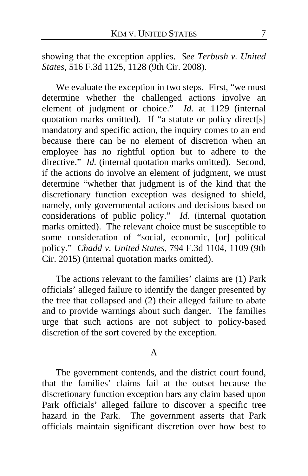showing that the exception applies. *See Terbush v. United States*, 516 F.3d 1125, 1128 (9th Cir. 2008).

We evaluate the exception in two steps. First, "we must determine whether the challenged actions involve an element of judgment or choice." *Id.* at 1129 (internal quotation marks omitted). If "a statute or policy direct[s] mandatory and specific action, the inquiry comes to an end because there can be no element of discretion when an employee has no rightful option but to adhere to the directive." *Id.* (internal quotation marks omitted). Second, if the actions do involve an element of judgment, we must determine "whether that judgment is of the kind that the discretionary function exception was designed to shield, namely, only governmental actions and decisions based on considerations of public policy." *Id.* (internal quotation marks omitted). The relevant choice must be susceptible to some consideration of "social, economic, [or] political policy." *Chadd v. United States*, 794 F.3d 1104, 1109 (9th Cir. 2015) (internal quotation marks omitted).

The actions relevant to the families' claims are (1) Park officials' alleged failure to identify the danger presented by the tree that collapsed and (2) their alleged failure to abate and to provide warnings about such danger. The families urge that such actions are not subject to policy-based discretion of the sort covered by the exception.

#### A

The government contends, and the district court found, that the families' claims fail at the outset because the discretionary function exception bars any claim based upon Park officials' alleged failure to discover a specific tree hazard in the Park. The government asserts that Park officials maintain significant discretion over how best to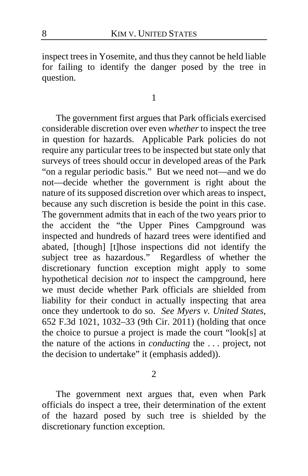inspect trees in Yosemite, and thus they cannot be held liable for failing to identify the danger posed by the tree in question.

1

The government first argues that Park officials exercised considerable discretion over even *whether* to inspect the tree in question for hazards. Applicable Park policies do not require any particular trees to be inspected but state only that surveys of trees should occur in developed areas of the Park "on a regular periodic basis." But we need not—and we do not—decide whether the government is right about the nature of its supposed discretion over which areas to inspect, because any such discretion is beside the point in this case. The government admits that in each of the two years prior to the accident the "the Upper Pines Campground was inspected and hundreds of hazard trees were identified and abated, [though] [t]hose inspections did not identify the subject tree as hazardous." Regardless of whether the discretionary function exception might apply to some hypothetical decision *not* to inspect the campground, here we must decide whether Park officials are shielded from liability for their conduct in actually inspecting that area once they undertook to do so. *See Myers v. United States*, 652 F.3d 1021, 1032–33 (9th Cir. 2011) (holding that once the choice to pursue a project is made the court "look[s] at the nature of the actions in *conducting* the . . . project, not the decision to undertake" it (emphasis added)).

2

The government next argues that, even when Park officials do inspect a tree, their determination of the extent of the hazard posed by such tree is shielded by the discretionary function exception.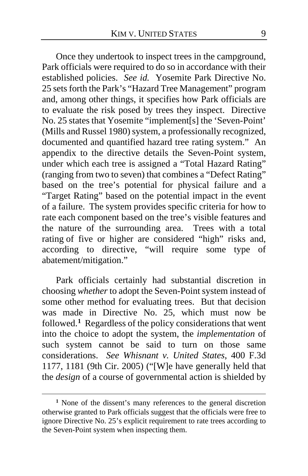<span id="page-8-1"></span>Once they undertook to inspect trees in the campground, Park officials were required to do so in accordance with their established policies. *See id.* Yosemite Park Directive No. 25 sets forth the Park's "Hazard Tree Management" program and, among other things, it specifies how Park officials are to evaluate the risk posed by trees they inspect. Directive No. 25 states that Yosemite "implement[s] the 'Seven-Point' (Mills and Russel 1980) system, a professionally recognized, documented and quantified hazard tree rating system." An appendix to the directive details the Seven-Point system, under which each tree is assigned a "Total Hazard Rating" (ranging from two to seven) that combines a "Defect Rating" based on the tree's potential for physical failure and a "Target Rating" based on the potential impact in the event of a failure. The system provides specific criteria for how to rate each component based on the tree's visible features and the nature of the surrounding area. Trees with a total rating of five or higher are considered "high" risks and, according to directive, "will require some type of abatement/mitigation."

Park officials certainly had substantial discretion in choosing *whether* to adopt the Seven-Point system instead of some other method for evaluating trees. But that decision was made in Directive No. 25, which must now be followed.**[1](#page-8-0)** Regardless of the policy considerations that went into the choice to adopt the system, the *implementation* of such system cannot be said to turn on those same considerations. *See Whisnant v. United States*, 400 F.3d 1177, 1181 (9th Cir. 2005) ("[W]e have generally held that the *design* of a course of governmental action is shielded by

<span id="page-8-0"></span>**<sup>1</sup>** None of the dissent's many references to the general discretion otherwise granted to Park officials suggest that the officials were free to ignore Directive No. 25's explicit requirement to rate trees according to the Seven-Point system when inspecting them.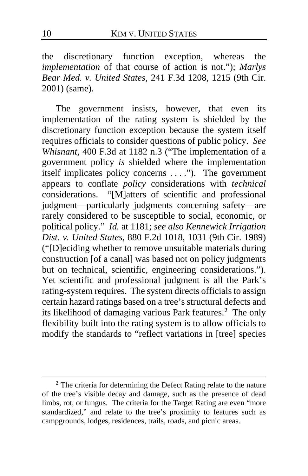the discretionary function exception, whereas the *implementation* of that course of action is not."); *Marlys Bear Med. v. United States*, 241 F.3d 1208, 1215 (9th Cir. 2001) (same).

The government insists, however, that even its implementation of the rating system is shielded by the discretionary function exception because the system itself requires officials to consider questions of public policy. *See Whisnant*, 400 F.3d at 1182 n.3 ("The implementation of a government policy *is* shielded where the implementation itself implicates policy concerns . . . ."). The government appears to conflate *policy* considerations with *technical*  considerations. "[M]atters of scientific and professional judgment—particularly judgments concerning safety—are rarely considered to be susceptible to social, economic, or political policy." *Id.* at 1181; *see also Kennewick Irrigation Dist. v. United States*, 880 F.2d 1018, 1031 (9th Cir. 1989) ("[D]eciding whether to remove unsuitable materials during construction [of a canal] was based not on policy judgments but on technical, scientific, engineering considerations."). Yet scientific and professional judgment is all the Park's rating-system requires. The system directs officials to assign certain hazard ratings based on a tree's structural defects and its likelihood of damaging various Park features.**[2](#page-9-0)** The only flexibility built into the rating system is to allow officials to modify the standards to "reflect variations in [tree] species

<span id="page-9-0"></span>**<sup>2</sup>** The criteria for determining the Defect Rating relate to the nature of the tree's visible decay and damage, such as the presence of dead limbs, rot, or fungus. The criteria for the Target Rating are even "more standardized," and relate to the tree's proximity to features such as campgrounds, lodges, residences, trails, roads, and picnic areas.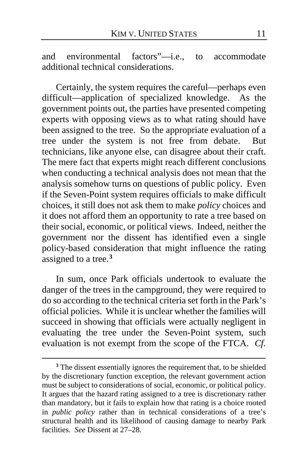and environmental factors"—i.e., to accommodate additional technical considerations.

Certainly, the system requires the careful—perhaps even difficult—application of specialized knowledge. As the government points out, the parties have presented competing experts with opposing views as to what rating should have been assigned to the tree. So the appropriate evaluation of a tree under the system is not free from debate. But technicians, like anyone else, can disagree about their craft. The mere fact that experts might reach different conclusions when conducting a technical analysis does not mean that the analysis somehow turns on questions of public policy. Even if the Seven-Point system requires officials to make difficult choices, it still does not ask them to make *policy* choices and it does not afford them an opportunity to rate a tree based on their social, economic, or political views. Indeed, neither the government nor the dissent has identified even a single policy-based consideration that might influence the rating assigned to a tree.**[3](#page-10-0)**

In sum, once Park officials undertook to evaluate the danger of the trees in the campground, they were required to do so according to the technical criteria set forth in the Park's official policies. While it is unclear whether the families will succeed in showing that officials were actually negligent in evaluating the tree under the Seven-Point system, such evaluation is not exempt from the scope of the FTCA. *Cf.* 

<span id="page-10-0"></span>**<sup>3</sup>** The dissent essentially ignores the requirement that, to be shielded by the discretionary function exception, the relevant government action must be subject to considerations of social, economic, or political policy. It argues that the hazard rating assigned to a tree is discretionary rather than mandatory, but it fails to explain how that rating is a choice rooted in *public policy* rather than in technical considerations of a tree's structural health and its likelihood of causing damage to nearby Park facilities. *See* Dissent a[t 27](#page-26-0)[–28.](#page-27-0)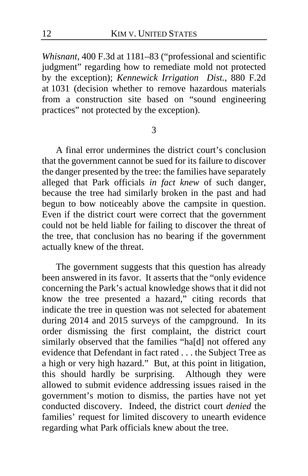*Whisnant*, 400 F.3d at 1181–83 ("professional and scientific judgment" regarding how to remediate mold not protected by the exception); *Kennewick Irrigation Dist.*, 880 F.2d at 1031 (decision whether to remove hazardous materials from a construction site based on "sound engineering practices" not protected by the exception).

3

<span id="page-11-0"></span>A final error undermines the district court's conclusion that the government cannot be sued for its failure to discover the danger presented by the tree: the families have separately alleged that Park officials *in fact knew* of such danger, because the tree had similarly broken in the past and had begun to bow noticeably above the campsite in question. Even if the district court were correct that the government could not be held liable for failing to discover the threat of the tree, that conclusion has no bearing if the government actually knew of the threat.

The government suggests that this question has already been answered in its favor. It asserts that the "only evidence concerning the Park's actual knowledge shows that it did not know the tree presented a hazard," citing records that indicate the tree in question was not selected for abatement during 2014 and 2015 surveys of the campground. In its order dismissing the first complaint, the district court similarly observed that the families "ha[d] not offered any evidence that Defendant in fact rated . . . the Subject Tree as a high or very high hazard." But, at this point in litigation, this should hardly be surprising. Although they were allowed to submit evidence addressing issues raised in the government's motion to dismiss, the parties have not yet conducted discovery. Indeed, the district court *denied* the families' request for limited discovery to unearth evidence regarding what Park officials knew about the tree.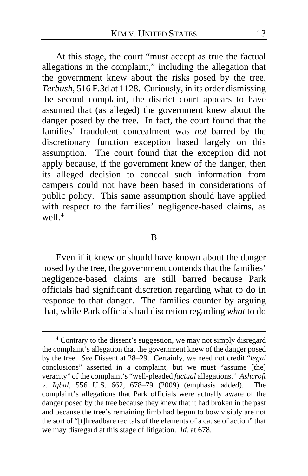At this stage, the court "must accept as true the factual allegations in the complaint," including the allegation that the government knew about the risks posed by the tree. *Terbush*, 516 F.3d at 1128. Curiously, in its order dismissing the second complaint, the district court appears to have assumed that (as alleged) the government knew about the danger posed by the tree. In fact, the court found that the families' fraudulent concealment was *not* barred by the discretionary function exception based largely on this assumption. The court found that the exception did not apply because, if the government knew of the danger, then its alleged decision to conceal such information from campers could not have been based in considerations of public policy. This same assumption should have applied with respect to the families' negligence-based claims, as well.**[4](#page-12-0)**

#### B

Even if it knew or should have known about the danger posed by the tree, the government contends that the families' negligence-based claims are still barred because Park officials had significant discretion regarding what to do in response to that danger. The families counter by arguing that, while Park officials had discretion regarding *what* to do

<span id="page-12-0"></span>**<sup>4</sup>** Contrary to the dissent's suggestion, we may not simply disregard the complaint's allegation that the government knew of the danger posed by the tree. *See* Dissent at [28](#page-27-1)[–29.](#page-28-0) Certainly, we need not credit "*legal*  conclusions" asserted in a complaint, but we must "assume [the] veracity" of the complaint's "well-pleaded *factual* allegations." *Ashcroft v. Iqbal*, 556 U.S. 662, 678–79 (2009) (emphasis added). The complaint's allegations that Park officials were actually aware of the danger posed by the tree because they knew that it had broken in the past and because the tree's remaining limb had begun to bow visibly are not the sort of "[t]hreadbare recitals of the elements of a cause of action" that we may disregard at this stage of litigation. *Id.* at 678.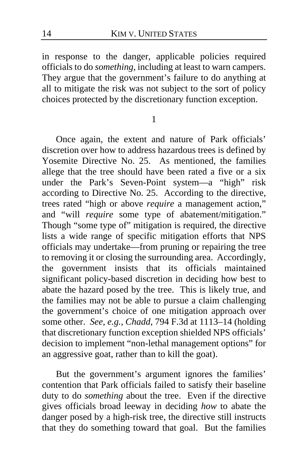in response to the danger, applicable policies required officials to do *something*, including at least to warn campers. They argue that the government's failure to do anything at all to mitigate the risk was not subject to the sort of policy choices protected by the discretionary function exception.

1

Once again, the extent and nature of Park officials' discretion over how to address hazardous trees is defined by Yosemite Directive No. 25. As mentioned, the families allege that the tree should have been rated a five or a six under the Park's Seven-Point system—a "high" risk according to Directive No. 25. According to the directive, trees rated "high or above *require* a management action," and "will *require* some type of abatement/mitigation." Though "some type of" mitigation is required, the directive lists a wide range of specific mitigation efforts that NPS officials may undertake—from pruning or repairing the tree to removing it or closing the surrounding area. Accordingly, the government insists that its officials maintained significant policy-based discretion in deciding how best to abate the hazard posed by the tree. This is likely true, and the families may not be able to pursue a claim challenging the government's choice of one mitigation approach over some other. *See, e.g.*, *Chadd*, 794 F.3d at 1113–14 (holding that discretionary function exception shielded NPS officials' decision to implement "non-lethal management options" for an aggressive goat, rather than to kill the goat).

But the government's argument ignores the families' contention that Park officials failed to satisfy their baseline duty to do *something* about the tree. Even if the directive gives officials broad leeway in deciding *how* to abate the danger posed by a high-risk tree, the directive still instructs that they do something toward that goal. But the families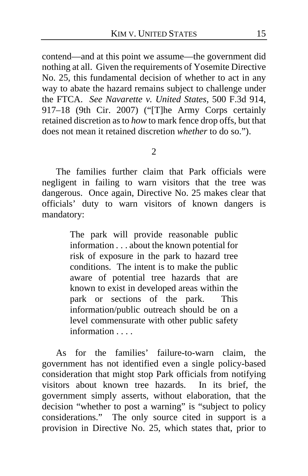contend—and at this point we assume—the government did nothing at all. Given the requirements of Yosemite Directive No. 25, this fundamental decision of whether to act in any way to abate the hazard remains subject to challenge under the FTCA. *See Navarette v. United States*, 500 F.3d 914, 917–18 (9th Cir. 2007) ("[T]he Army Corps certainly retained discretion as to *how* to mark fence drop offs, but that does not mean it retained discretion *whether* to do so.").

 $\mathcal{D}_{\alpha}$ 

The families further claim that Park officials were negligent in failing to warn visitors that the tree was dangerous. Once again, Directive No. 25 makes clear that officials' duty to warn visitors of known dangers is mandatory:

> The park will provide reasonable public information . . . about the known potential for risk of exposure in the park to hazard tree conditions. The intent is to make the public aware of potential tree hazards that are known to exist in developed areas within the park or sections of the park. This information/public outreach should be on a level commensurate with other public safety information

As for the families' failure-to-warn claim, the government has not identified even a single policy-based consideration that might stop Park officials from notifying visitors about known tree hazards. In its brief, the government simply asserts, without elaboration, that the decision "whether to post a warning" is "subject to policy considerations." The only source cited in support is a provision in Directive No. 25, which states that, prior to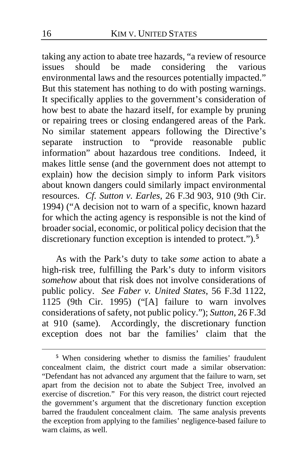taking any action to abate tree hazards, "a review of resource issues should be made considering the various environmental laws and the resources potentially impacted." But this statement has nothing to do with posting warnings. It specifically applies to the government's consideration of how best to abate the hazard itself, for example by pruning or repairing trees or closing endangered areas of the Park. No similar statement appears following the Directive's separate instruction to "provide reasonable public  $separate$  instruction to "provide reasonable information" about hazardous tree conditions. Indeed, it makes little sense (and the government does not attempt to explain) how the decision simply to inform Park visitors about known dangers could similarly impact environmental resources. *Cf. Sutton v. Earles*, 26 F.3d 903, 910 (9th Cir. 1994) ("A decision not to warn of a specific, known hazard for which the acting agency is responsible is not the kind of broader social, economic, or political policy decision that the discretionary function exception is intended to protect.").**[5](#page-15-0)**

As with the Park's duty to take *some* action to abate a high-risk tree, fulfilling the Park's duty to inform visitors *somehow* about that risk does not involve considerations of public policy. *See Faber v. United States*, 56 F.3d 1122, 1125 (9th Cir. 1995) ("[A] failure to warn involves considerations of safety, not public policy."); *Sutton*, 26 F.3d at 910 (same). Accordingly, the discretionary function exception does not bar the families' claim that the

<span id="page-15-0"></span>**<sup>5</sup>** When considering whether to dismiss the families' fraudulent concealment claim, the district court made a similar observation: "Defendant has not advanced any argument that the failure to warn, set apart from the decision not to abate the Subject Tree, involved an exercise of discretion." For this very reason, the district court rejected the government's argument that the discretionary function exception barred the fraudulent concealment claim. The same analysis prevents the exception from applying to the families' negligence-based failure to warn claims, as well.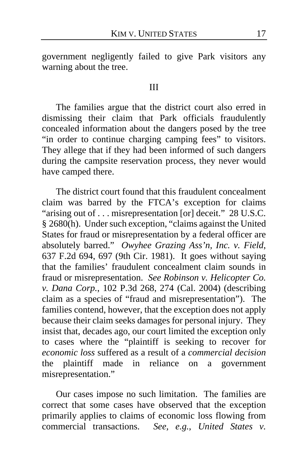government negligently failed to give Park visitors any warning about the tree.

#### III

The families argue that the district court also erred in dismissing their claim that Park officials fraudulently concealed information about the dangers posed by the tree "in order to continue charging camping fees" to visitors. They allege that if they had been informed of such dangers during the campsite reservation process, they never would have camped there.

The district court found that this fraudulent concealment claim was barred by the FTCA's exception for claims "arising out of . . . misrepresentation [or] deceit." 28 U.S.C. § 2680(h). Under such exception, "claims against the United States for fraud or misrepresentation by a federal officer are absolutely barred." *Owyhee Grazing Ass'n, Inc. v. Field*, 637 F.2d 694, 697 (9th Cir. 1981). It goes without saying that the families' fraudulent concealment claim sounds in fraud or misrepresentation. *See Robinson v. Helicopter Co. v. Dana Corp.*, 102 P.3d 268, 274 (Cal. 2004) (describing claim as a species of "fraud and misrepresentation"). The families contend, however, that the exception does not apply because their claim seeks damages for personal injury. They insist that, decades ago, our court limited the exception only to cases where the "plaintiff is seeking to recover for *economic loss* suffered as a result of a *commercial decision* the plaintiff made in reliance on a government misrepresentation."

Our cases impose no such limitation. The families are correct that some cases have observed that the exception primarily applies to claims of economic loss flowing from commercial transactions. *See, e.g.*, *United States v.*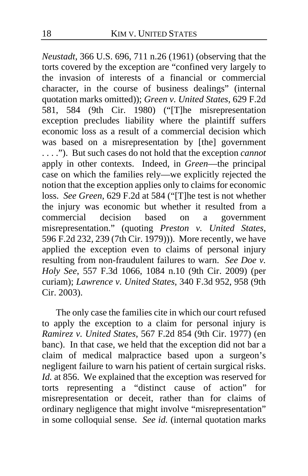*Neustadt*, 366 U.S. 696, 711 n.26 (1961) (observing that the torts covered by the exception are "confined very largely to the invasion of interests of a financial or commercial character, in the course of business dealings" (internal quotation marks omitted)); *Green v. United States*, 629 F.2d 581, 584 (9th Cir. 1980) ("[T]he misrepresentation exception precludes liability where the plaintiff suffers economic loss as a result of a commercial decision which was based on a misrepresentation by [the] government . . . ."). But such cases do not hold that the exception *cannot*  apply in other contexts. Indeed, in *Green*—the principal case on which the families rely—we explicitly rejected the notion that the exception applies only to claims for economic loss. *See Green*, 629 F.2d at 584 ("[T]he test is not whether the injury was economic but whether it resulted from a<br>commercial decision based on a government based on a government misrepresentation." (quoting *Preston v. United States*, 596 F.2d 232, 239 (7th Cir. 1979))). More recently, we have applied the exception even to claims of personal injury resulting from non-fraudulent failures to warn. *See Doe v. Holy See*, 557 F.3d 1066, 1084 n.10 (9th Cir. 2009) (per curiam); *Lawrence v. United States*, 340 F.3d 952, 958 (9th Cir. 2003).

The only case the families cite in which our court refused to apply the exception to a claim for personal injury is *Ramirez v. United States*, 567 F.2d 854 (9th Cir. 1977) (en banc). In that case, we held that the exception did not bar a claim of medical malpractice based upon a surgeon's negligent failure to warn his patient of certain surgical risks. *Id.* at 856. We explained that the exception was reserved for torts representing a "distinct cause of action" for misrepresentation or deceit, rather than for claims of ordinary negligence that might involve "misrepresentation" in some colloquial sense. *See id.* (internal quotation marks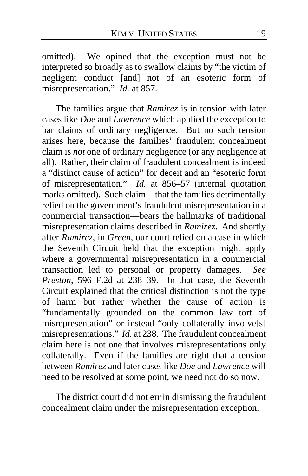omitted). We opined that the exception must not be interpreted so broadly as to swallow claims by "the victim of negligent conduct [and] not of an esoteric form of misrepresentation." *Id.* at 857.

The families argue that *Ramirez* is in tension with later cases like *Doe* and *Lawrence* which applied the exception to bar claims of ordinary negligence. But no such tension arises here, because the families' fraudulent concealment claim is *not* one of ordinary negligence (or any negligence at all). Rather, their claim of fraudulent concealment is indeed a "distinct cause of action" for deceit and an "esoteric form of misrepresentation." *Id.* at 856–57 (internal quotation marks omitted).Such claim—that the families detrimentally relied on the government's fraudulent misrepresentation in a commercial transaction—bears the hallmarks of traditional misrepresentation claims described in *Ramirez*. And shortly after *Ramirez*, in *Green*, our court relied on a case in which the Seventh Circuit held that the exception might apply where a governmental misrepresentation in a commercial transaction led to personal or property damages. *See Preston*, 596 F.2d at 238–39. In that case, the Seventh Circuit explained that the critical distinction is not the type of harm but rather whether the cause of action is "fundamentally grounded on the common law tort of misrepresentation" or instead "only collaterally involve[s] misrepresentations." *Id.* at 238. The fraudulent concealment claim here is not one that involves misrepresentations only collaterally. Even if the families are right that a tension between *Ramirez* and later cases like *Doe* and *Lawrence* will need to be resolved at some point, we need not do so now.

The district court did not err in dismissing the fraudulent concealment claim under the misrepresentation exception.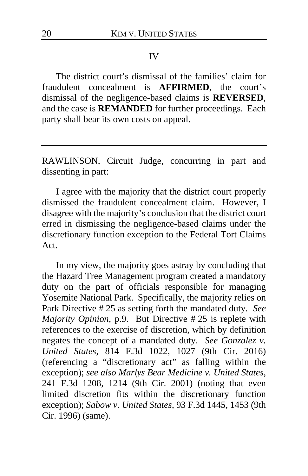#### IV

The district court's dismissal of the families' claim for fraudulent concealment is **AFFIRMED**, the court's dismissal of the negligence-based claims is **REVERSED**, and the case is **REMANDED** for further proceedings. Each party shall bear its own costs on appeal.

RAWLINSON, Circuit Judge, concurring in part and dissenting in part:

I agree with the majority that the district court properly dismissed the fraudulent concealment claim. However, I disagree with the majority's conclusion that the district court erred in dismissing the negligence-based claims under the discretionary function exception to the Federal Tort Claims Act.

In my view, the majority goes astray by concluding that the Hazard Tree Management program created a mandatory duty on the part of officials responsible for managing Yosemite National Park. Specifically, the majority relies on Park Directive # 25 as setting forth the mandated duty. *See Majority Opinion*, p[.9.](#page-8-1) But Directive # 25 is replete with references to the exercise of discretion, which by definition negates the concept of a mandated duty. *See Gonzalez v. United States*, 814 F.3d 1022, 1027 (9th Cir. 2016) (referencing a "discretionary act" as falling within the exception); *see also Marlys Bear Medicine v. United States*, 241 F.3d 1208, 1214 (9th Cir. 2001) (noting that even limited discretion fits within the discretionary function exception); *Sabow v. United States*, 93 F.3d 1445, 1453 (9th Cir. 1996) (same).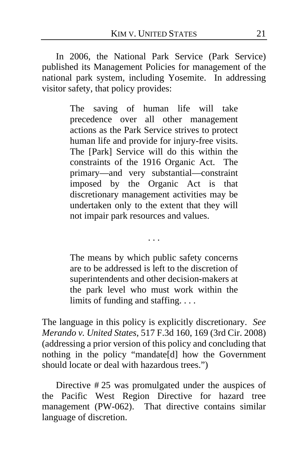In 2006, the National Park Service (Park Service) published its Management Policies for management of the national park system, including Yosemite. In addressing visitor safety, that policy provides:

> The saving of human life will take precedence over all other management actions as the Park Service strives to protect human life and provide for injury-free visits. The [Park] Service will do this within the constraints of the 1916 Organic Act. The primary—and very substantial—constraint imposed by the Organic Act is that discretionary management activities may be undertaken only to the extent that they will not impair park resources and values.

> The means by which public safety concerns are to be addressed is left to the discretion of superintendents and other decision-makers at the park level who must work within the limits of funding and staffing. . . .

. . .

The language in this policy is explicitly discretionary. *See Merando v. United States*, 517 F.3d 160, 169 (3rd Cir. 2008) (addressing a prior version of this policy and concluding that nothing in the policy "mandate[d] how the Government should locate or deal with hazardous trees.")

Directive # 25 was promulgated under the auspices of the Pacific West Region Directive for hazard tree management (PW-062). That directive contains similar language of discretion.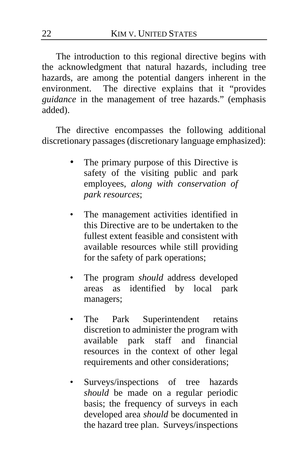The introduction to this regional directive begins with the acknowledgment that natural hazards, including tree hazards, are among the potential dangers inherent in the environment. The directive explains that it "provides *guidance* in the management of tree hazards." (emphasis added).

The directive encompasses the following additional discretionary passages (discretionary language emphasized):

- The primary purpose of this Directive is safety of the visiting public and park employees, *along with conservation of park resources*;
- The management activities identified in this Directive are to be undertaken to the fullest extent feasible and consistent with available resources while still providing for the safety of park operations;
- The program *should* address developed areas as identified by local park managers;
- The Park Superintendent retains discretion to administer the program with available park staff and financial resources in the context of other legal requirements and other considerations;
- Surveys/inspections of tree hazards *should* be made on a regular periodic basis; the frequency of surveys in each developed area *should* be documented in the hazard tree plan. Surveys/inspections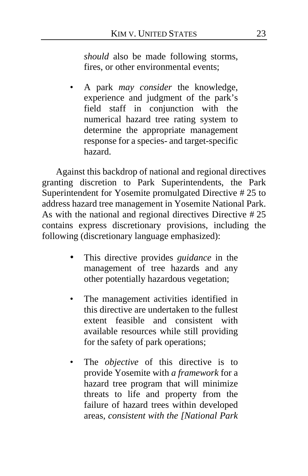*should* also be made following storms, fires, or other environmental events;

• A park *may consider* the knowledge, experience and judgment of the park's field staff in conjunction with the numerical hazard tree rating system to determine the appropriate management response for a species- and target-specific hazard.

Against this backdrop of national and regional directives granting discretion to Park Superintendents, the Park Superintendent for Yosemite promulgated Directive # 25 to address hazard tree management in Yosemite National Park. As with the national and regional directives Directive # 25 contains express discretionary provisions, including the following (discretionary language emphasized):

- This directive provides *guidance* in the management of tree hazards and any other potentially hazardous vegetation;
- The management activities identified in this directive are undertaken to the fullest extent feasible and consistent with available resources while still providing for the safety of park operations;
- The *objective* of this directive is to provide Yosemite with *a framework* for a hazard tree program that will minimize threats to life and property from the failure of hazard trees within developed areas, *consistent with the [National Park*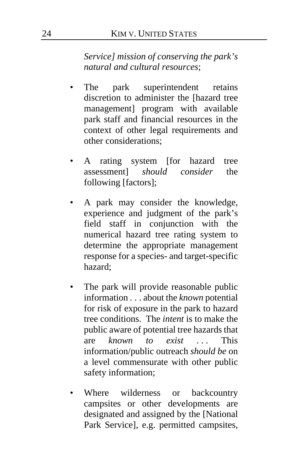*Service] mission of conserving the park's natural and cultural resources*;

- The park superintendent retains discretion to administer the [hazard tree management] program with available park staff and financial resources in the context of other legal requirements and other considerations;
- A rating system [for hazard tree assessment] *should consider* the following [factors];
- A park may consider the knowledge, experience and judgment of the park's field staff in conjunction with the numerical hazard tree rating system to determine the appropriate management response for a species- and target-specific hazard;
- The park will provide reasonable public information . . . about the *known* potential for risk of exposure in the park to hazard tree conditions. The *intent* is to make the public aware of potential tree hazards that are *known to exist* ... This information/public outreach *should be* on a level commensurate with other public safety information;
- Where wilderness or backcountry campsites or other developments are designated and assigned by the [National Park Service], e.g. permitted campsites,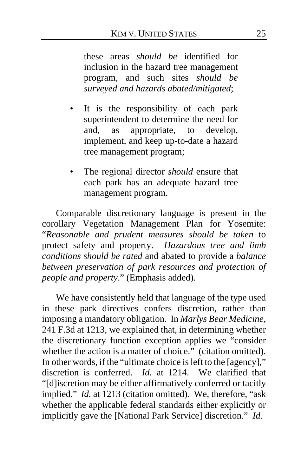these areas *should be* identified for inclusion in the hazard tree management program, and such sites *should be surveyed and hazards abated/mitigated*;

- It is the responsibility of each park superintendent to determine the need for and, as appropriate, to develop, implement, and keep up-to-date a hazard tree management program;
- The regional director *should* ensure that each park has an adequate hazard tree management program.

Comparable discretionary language is present in the corollary Vegetation Management Plan for Yosemite: "*Reasonable and prudent measures should be taken* to protect safety and property. *Hazardous tree and limb conditions should be rated* and abated to provide a *balance between preservation of park resources and protection of people and property*." (Emphasis added).

We have consistently held that language of the type used in these park directives confers discretion, rather than imposing a mandatory obligation. In *Marlys Bear Medicine*, 241 F.3d at 1213, we explained that, in determining whether the discretionary function exception applies we "consider whether the action is a matter of choice." (citation omitted). In other words, if the "ultimate choice is left to the [agency]," discretion is conferred. *Id.* at 1214. We clarified that "[d]iscretion may be either affirmatively conferred or tacitly implied." *Id.* at 1213 (citation omitted). We, therefore, "ask whether the applicable federal standards either explicitly or implicitly gave the [National Park Service] discretion." *Id.*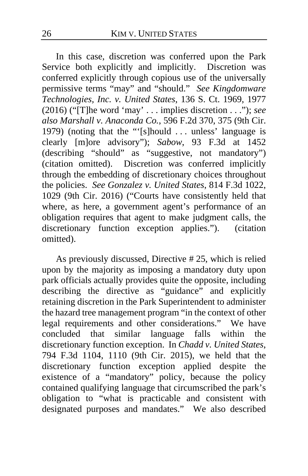In this case, discretion was conferred upon the Park Service both explicitly and implicitly. Discretion was conferred explicitly through copious use of the universally permissive terms "may" and "should." *See Kingdomware Technologies, Inc. v. United States*, 136 S. Ct. 1969, 1977 (2016) ("[T]he word 'may' . . . implies discretion . . ."); *see also Marshall v. Anaconda Co.*, 596 F.2d 370, 375 (9th Cir. 1979) (noting that the "'[s]hould . . . unless' language is clearly [m]ore advisory"); *Sabow*, 93 F.3d at 1452 (describing "should" as "suggestive, not mandatory") (citation omitted). Discretion was conferred implicitly through the embedding of discretionary choices throughout the policies. *See Gonzalez v. United States*, 814 F.3d 1022, 1029 (9th Cir. 2016) ("Courts have consistently held that where, as here, a government agent's performance of an obligation requires that agent to make judgment calls, the discretionary function exception applies."). (citation omitted).

As previously discussed, Directive # 25, which is relied upon by the majority as imposing a mandatory duty upon park officials actually provides quite the opposite, including describing the directive as "guidance" and explicitly retaining discretion in the Park Superintendent to administer the hazard tree management program "in the context of other legal requirements and other considerations." We have concluded that similar language falls within the discretionary function exception. In *Chadd v. United States*, 794 F.3d 1104, 1110 (9th Cir. 2015), we held that the discretionary function exception applied despite the existence of a "mandatory" policy, because the policy contained qualifying language that circumscribed the park's obligation to "what is practicable and consistent with designated purposes and mandates." We also described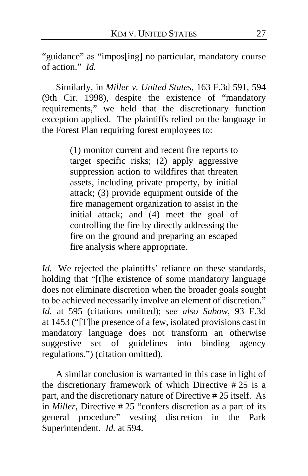"guidance" as "impos[ing] no particular, mandatory course of action." *Id.*

Similarly, in *Miller v. United States*, 163 F.3d 591, 594 (9th Cir. 1998), despite the existence of "mandatory requirements," we held that the discretionary function exception applied. The plaintiffs relied on the language in the Forest Plan requiring forest employees to:

> (1) monitor current and recent fire reports to target specific risks; (2) apply aggressive suppression action to wildfires that threaten assets, including private property, by initial attack; (3) provide equipment outside of the fire management organization to assist in the initial attack; and (4) meet the goal of controlling the fire by directly addressing the fire on the ground and preparing an escaped fire analysis where appropriate.

*Id.* We rejected the plaintiffs' reliance on these standards, holding that "[t]he existence of some mandatory language does not eliminate discretion when the broader goals sought to be achieved necessarily involve an element of discretion." *Id.* at 595 (citations omitted); *see also Sabow*, 93 F.3d at 1453 ("[T]he presence of a few, isolated provisions cast in mandatory language does not transform an otherwise suggestive set of guidelines into binding agency regulations.") (citation omitted).

<span id="page-26-0"></span>A similar conclusion is warranted in this case in light of the discretionary framework of which Directive  $#25$  is a part, and the discretionary nature of Directive # 25 itself. As in *Miller*, Directive # 25 "confers discretion as a part of its general procedure" vesting discretion in the Park Superintendent. *Id.* at 594.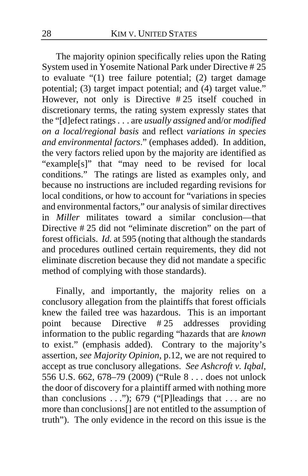The majority opinion specifically relies upon the Rating System used in Yosemite National Park under Directive # 25 to evaluate "(1) tree failure potential; (2) target damage potential; (3) target impact potential; and (4) target value." However, not only is Directive # 25 itself couched in discretionary terms, the rating system expressly states that the "[d]efect ratings . . . are *usually assigned* and/or *modified on a local/regional basis* and reflect *variations in species and environmental factors*." (emphases added). In addition, the very factors relied upon by the majority are identified as "example[s]" that "may need to be revised for local conditions." The ratings are listed as examples only, and because no instructions are included regarding revisions for local conditions, or how to account for "variations in species and environmental factors," our analysis of similar directives in *Miller* militates toward a similar conclusion—that Directive # 25 did not "eliminate discretion" on the part of forest officials. *Id.* at 595 (noting that although the standards and procedures outlined certain requirements, they did not eliminate discretion because they did not mandate a specific method of complying with those standards).

<span id="page-27-1"></span><span id="page-27-0"></span>Finally, and importantly, the majority relies on a conclusory allegation from the plaintiffs that forest officials knew the failed tree was hazardous. This is an important point because Directive # 25 addresses providing information to the public regarding "hazards that are *known* to exist." (emphasis added). Contrary to the majority's assertion, *see Majority Opinion*, p[.12,](#page-11-0) we are not required to accept as true conclusory allegations. *See Ashcroft v. Iqbal*, 556 U.S. 662, 678–79 (2009) ("Rule 8 . . . does not unlock the door of discovery for a plaintiff armed with nothing more than conclusions . . ."); 679 ("[P]leadings that . . . are no more than conclusions[] are not entitled to the assumption of truth"). The only evidence in the record on this issue is the